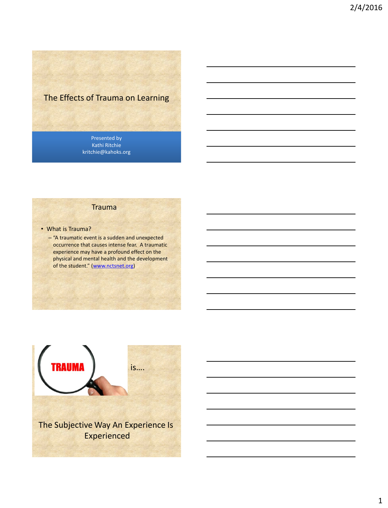# The Effects of Trauma on Learning

Presented by Kathi Ritchie kritchie@kahoks.org

#### **Trauma**

- What is Trauma?
	- "A traumatic event is a sudden and unexpected occurrence that causes intense fear. A traumatic experience may have a profound effect on the physical and mental health and the development of the student." ([www.nctsnet.org](http://www.nctsnet.orgwww.nctsnet.org))

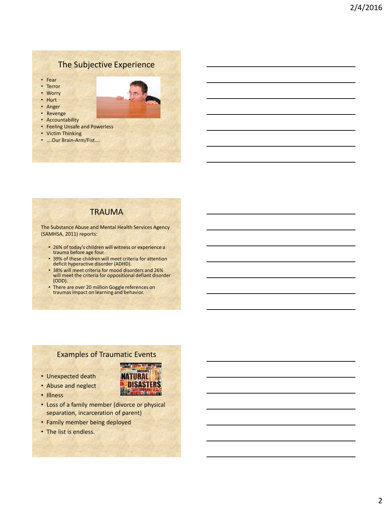## The Subjective Experience

- Fear
- Terror
- Worry
- Hurt
- Anger
- Revenge
- Accountability
- Feeling Unsafe and Powerless
- Victim Thinking
- ….Our Brain-Arm/Fist….

#### **TRAUMA**

The Substance Abuse and Mental Health Services Agency (SAMHSA, 2011) reports:

- 26% of today's children will witness or experience a trauma before age four.
- 39% of these children will meet criteria for attention deficit hyperactive disorder (ADHD).
- 38% will meet criteria for mood disorders and 26% will meet the criteria for oppositional defiant disorder (ODD).
- There are over 20 million Goggle references on traumas impact on learning and behavior.

#### Examples of Traumatic Events

LAHARS CAMMA RAY WATER DRO **NATURAL DISASTERS** 

**IEarw** 

- Unexpected death
- Abuse and neglect
- Illness
- Loss of a family member (divorce or physical separation, incarceration of parent)
- Family member being deployed
- The list is endless.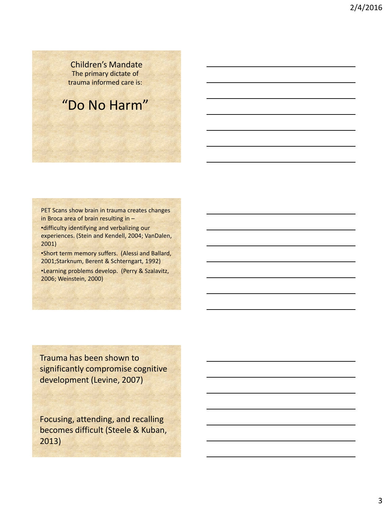Children's Mandate The primary dictate of trauma informed care is:

## "Do No Harm"

PET Scans show brain in trauma creates changes in Broca area of brain resulting in – •difficulty identifying and verbalizing our experiences. (Stein and Kendell, 2004; VanDalen, 2001)

•Short term memory suffers. (Alessi and Ballard, 2001;Starknum, Berent & Schterngart, 1992)

•Learning problems develop. (Perry & Szalavitz, 2006; Weinstein, 2000)

Trauma has been shown to significantly compromise cognitive development (Levine, 2007)

Focusing, attending, and recalling becomes difficult (Steele & Kuban, 2013)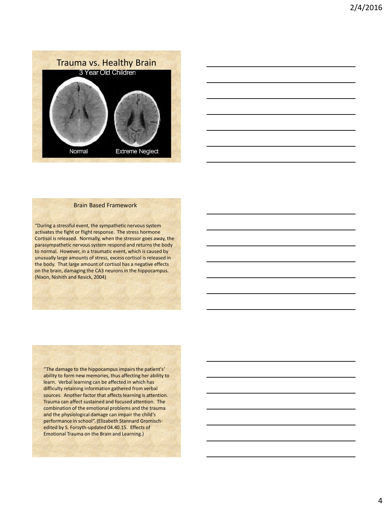



#### Brain Based Framework

"During a stressful event, the sympathetic nervous system activates the fight or flight response. The stress hormone Cortisol is released. Normally, when the stressor goes away, the parasympathetic nervous system respond and returns the body to normal. However, in a traumatic event, which is caused by unusually large amounts of stress, excess cortisol is released in the body. That large amount of cortisol has a negative effects on the brain, damaging the CA3 neurons in the hippocampus. (Nixon, Nishith and Resick, 2004)

"The damage to the hippocampus impairs the patient's' ability to form new memories, thus affecting her ability to learn. Verbal learning can be affected in which has difficulty retaining information gathered from verbal sources. Another factor that affects learning is attention. Trauma can affect sustained and focused attention. The combination of the emotional problems and the trauma and the physiological damage can impair the child's performance in school". (Elizabeth Stannard Gromischedited by S. Forsyth-updated 04.40.15. Effects of Emotional Trauma on the Brain and Learning.)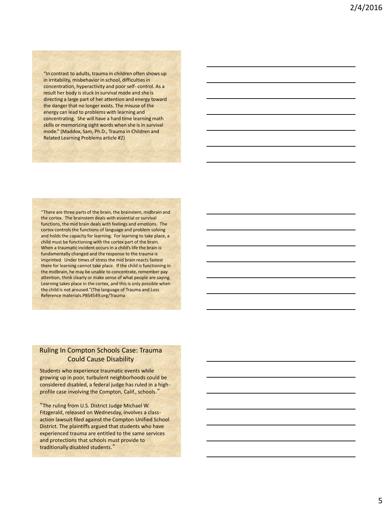"In contrast to adults, trauma in children often shows up in irritability, misbehavior in school, difficulties in concentration, hyperactivity and poor self- control. As a result her body is stuck in survival mode and she is directing a large part of her attention and energy toward the danger that no longer exists. The misuse of the energy can lead to problems with learning and concentrating. She will have a hard time learning math skills or memorizing sight words when she is in survival mode." (Maddox, Sam, Ph.D., Trauma in Children and Related Learning Problems article #2)

"There are three parts of the brain, the brainstem, midbrain and the cortex. The brainstem deals with essential or survival functions, the mid brain deals with feelings and emotions. The cortex controls the functions of language and problem solving and holds the capacity for learning. For learning to take place, a child must be functioning with the cortex part of the brain. When a traumatic incident occurs in a child's life the brain is fundamentally changed and the response to the trauma is imprinted. Under times of stress the mid brain reacts fastest there for learning cannot take place. If the child is functioning in the midbrain, he may be unable to concentrate, remember pay attention, think clearly or make sense of what people are saying. Learning takes place in the cortex, and this is only possible when the child is not aroused."(The language of Trauma and Loss Reference materials.PBS4549.org/Trauma

#### Ruling In Compton Schools Case: Trauma Could Cause Disability

Students who experience traumatic events while growing up in poor, turbulent neighborhoods could be considered disabled, a federal judge has ruled in a highprofile case involving the Compton, Calif., schools.'

"The ruling from U.S. District Judge Michael W. Fitzgerald, released on Wednesday, involves a classaction lawsuit filed against the Compton Unified School District. The plaintiffs argued that students who have experienced trauma are entitled to the same services and protections that schools must provide to traditionally disabled students."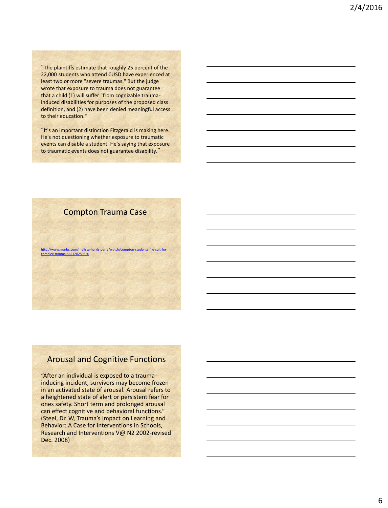"The plaintiffs estimate that roughly 25 percent of the 22,000 students who attend CUSD have experienced at least two or more "severe traumas." But the judge wrote that exposure to trauma does not guarantee that a child (1) will suffer "from cognizable traumainduced disabilities for purposes of the proposed class definition, and (2) have been denied meaningful access to their education."

"It's an important distinction Fitzgerald is making here. He's not questioning whether exposure to traumatic events can disable a student. He's saying that exposure to traumatic events does not guarantee disability."

#### Compton Trauma Case

[http://www.msnbc.com/melissa-harris-perry/watch/compton-students-file-suit-for](http://www.msnbc.com/melissa-harris-perry/watch/compton-students-file-suit-for-complex-trauma-562120259820http://www.msnbc.com/melissa-harris-perry/watch/compton-students-file-suit-for-complex-trauma-562120259820)[complex-trauma-562120259820](http://www.msnbc.com/melissa-harris-perry/watch/compton-students-file-suit-for-complex-trauma-562120259820http://www.msnbc.com/melissa-harris-perry/watch/compton-students-file-suit-for-complex-trauma-562120259820)

#### Arousal and Cognitive Functions

"After an individual is exposed to a traumainducing incident, survivors may become frozen in an activated state of arousal. Arousal refers to a heightened state of alert or persistent fear for ones safety. Short term and prolonged arousal can effect cognitive and behavioral functions." (Steel, Dr. W, Trauma's Impact on Learning and Behavior: A Case for Interventions in Schools, Research and Interventions V@ N2 2002-revised Dec. 2008)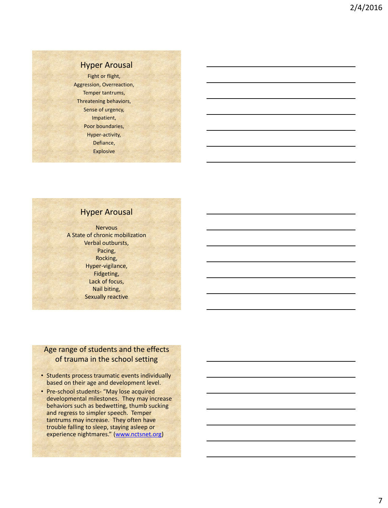#### Hyper Arousal

Fight or flight, Aggression, Overreaction, Temper tantrums, Threatening behaviors, Sense of urgency, Impatient, Poor boundaries, Hyper-activity, Defiance, Explosive

#### Hyper Arousal

**Nervous** A State of chronic mobilization Verbal outbursts, Pacing, Rocking, Hyper-vigilance, Fidgeting, Lack of focus, Nail biting, Sexually reactive

#### Age range of students and the effects of trauma in the school setting

- Students process traumatic events individually based on their age and development level.
- Pre-school students- "May lose acquired developmental milestones. They may increase behaviors such as bedwetting, thumb sucking and regress to simpler speech. Temper tantrums may increase. They often have trouble falling to sleep, staying asleep or experience nightmares." ([www.nctsnet.org](http://www.nctsnet.orgwww.nctsnet.org))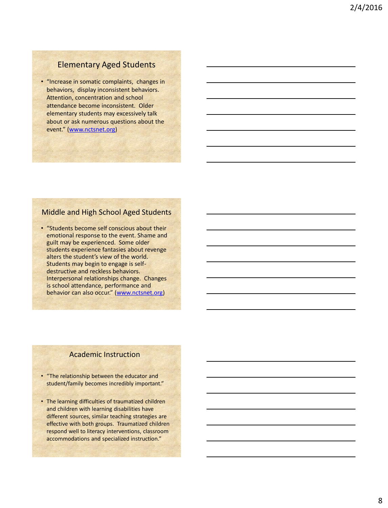#### Elementary Aged Students

• "Increase in somatic complaints, changes in behaviors, display inconsistent behaviors. Attention, concentration and school attendance become inconsistent. Older elementary students may excessively talk about or ask numerous questions about the event." ([www.nctsnet.org](http://www.nctsnet.orgwww.nctsnet.org))

#### Middle and High School Aged Students

• "Students become self conscious about their emotional response to the event. Shame and guilt may be experienced. Some older students experience fantasies about revenge alters the student's view of the world. Students may begin to engage is selfdestructive and reckless behaviors. Interpersonal relationships change. Changes is school attendance, performance and behavior can also occur." ([www.nctsnet.org\)](http://www.nctsnet.orgwww.nctsnet.org)

#### Academic Instruction

- "The relationship between the educator and student/family becomes incredibly important."
- The learning difficulties of traumatized children and children with learning disabilities have different sources, similar teaching strategies are effective with both groups. Traumatized children respond well to literacy interventions, classroom accommodations and specialized instruction."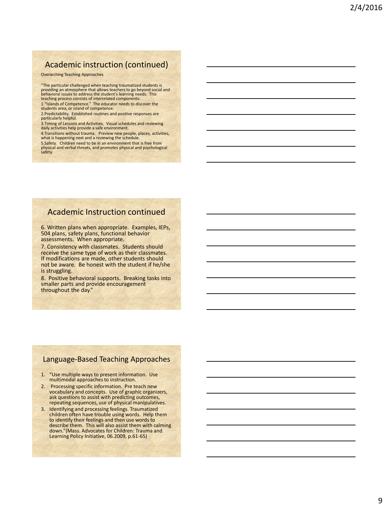#### Academic instruction (continued)

Overarching Teaching Approaches

"The particular challenged when teaching traumatized students is providing an atmosphere that allows teachers to go beyond social and behavioral issues to address the student's learning needs. This teaching process consists of interrelated components:

1."Islands of Competence." The educator needs to discover the students area, or island of competence.

2.Predictability. Established routines and positive responses are particularly helpful.

3.Timing of Lessons and Activities. Visual schedules and reviewing daily activities help provide a safe environment.

4.Transitions without trauma. Preview new people, places, activities, what is happening next and a reviewing the schedule.

5.Safety. Children need to be in an environment that is free from physical and verbal threats, and promotes physical and psychological safety.

#### Academic Instruction continued

6. Written plans when appropriate. Examples, IEPs, 504 plans, safety plans, functional behavior assessments. When appropriate.

7. Consistency with classmates. Students should receive the same type of work as their classmates. If modifications are made, other students should not be aware. Be honest with the student if he/she is struggling.

8. Positive behavioral supports. Breaking tasks into smaller parts and provide encouragement throughout the day."

#### Language-Based Teaching Approaches

- 1. "Use multiple ways to present information. Use multimodal approaches to instruction.
- 2. Processing specific information. Pre teach new vocabulary and concepts. Use of graphic organizers, ask questions to assist with predicting outcomes, repeating sequences, use of physical manipulatives.
- 3. Identifying and processing feelings. Traumatized children often have trouble using words. Help them to identify their feelings and then use words to describe them. This will also assist them with calming down."(Mass. Advocates for Children: Trauma and Learning Policy Initiative, 06.2009, p.61-65)